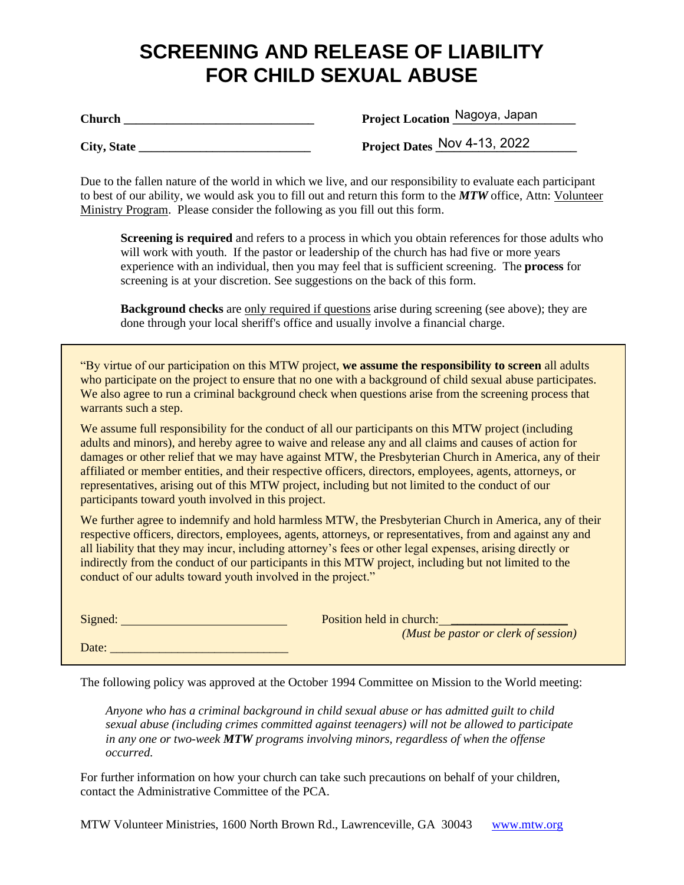# **SCREENING AND RELEASE OF LIABILITY FOR CHILD SEXUAL ABUSE**

**Church \_\_\_\_\_\_\_\_\_\_\_\_\_\_\_\_\_\_\_\_\_\_\_\_\_\_\_\_\_\_\_ Project Location \_\_\_\_\_\_\_\_\_\_\_\_\_\_\_\_\_\_\_\_**

Project Location Nagoya, Japan

 $City, State$ 

Project Dates Nov 4-13, 2022

Due to the fallen nature of the world in which we live, and our responsibility to evaluate each participant to best of our ability, we would ask you to fill out and return this form to the *MTW* office, Attn: Volunteer Ministry Program. Please consider the following as you fill out this form.

**Screening is required** and refers to a process in which you obtain references for those adults who will work with youth. If the pastor or leadership of the church has had five or more years experience with an individual, then you may feel that is sufficient screening. The **process** for screening is at your discretion. See suggestions on the back of this form.

**Background checks** are only required if questions arise during screening (see above); they are done through your local sheriff's office and usually involve a financial charge.

"By virtue of our participation on this MTW project, **we assume the responsibility to screen** all adults who participate on the project to ensure that no one with a background of child sexual abuse participates. We also agree to run a criminal background check when questions arise from the screening process that warrants such a step.

We assume full responsibility for the conduct of all our participants on this MTW project (including adults and minors), and hereby agree to waive and release any and all claims and causes of action for damages or other relief that we may have against MTW, the Presbyterian Church in America, any of their affiliated or member entities, and their respective officers, directors, employees, agents, attorneys, or representatives, arising out of this MTW project, including but not limited to the conduct of our participants toward youth involved in this project.

We further agree to indemnify and hold harmless MTW, the Presbyterian Church in America, any of their respective officers, directors, employees, agents, attorneys, or representatives, from and against any and all liability that they may incur, including attorney's fees or other legal expenses, arising directly or indirectly from the conduct of our participants in this MTW project, including but not limited to the conduct of our adults toward youth involved in the project."

| Signed: | Position held in church:             |
|---------|--------------------------------------|
|         | (Must be pastor or clerk of session) |
| Date:   |                                      |

The following policy was approved at the October 1994 Committee on Mission to the World meeting:

*Anyone who has a criminal background in child sexual abuse or has admitted guilt to child sexual abuse (including crimes committed against teenagers) will not be allowed to participate in any one or two-week MTW programs involving minors, regardless of when the offense occurred.*

For further information on how your church can take such precautions on behalf of your children, contact the Administrative Committee of the PCA.